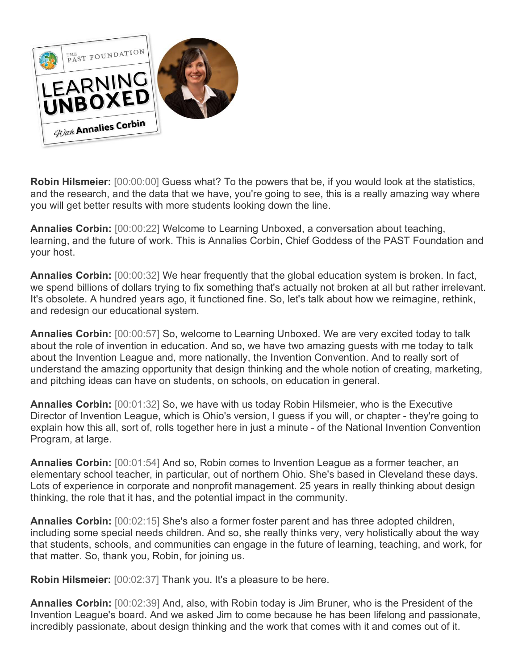

**Robin Hilsmeier:** [00:00:00] Guess what? To the powers that be, if you would look at the statistics, and the research, and the data that we have, you're going to see, this is a really amazing way where you will get better results with more students looking down the line.

**Annalies Corbin:** [00:00:22] Welcome to Learning Unboxed, a conversation about teaching, learning, and the future of work. This is Annalies Corbin, Chief Goddess of the PAST Foundation and your host.

**Annalies Corbin:** [00:00:32] We hear frequently that the global education system is broken. In fact, we spend billions of dollars trying to fix something that's actually not broken at all but rather irrelevant. It's obsolete. A hundred years ago, it functioned fine. So, let's talk about how we reimagine, rethink, and redesign our educational system.

**Annalies Corbin:** [00:00:57] So, welcome to Learning Unboxed. We are very excited today to talk about the role of invention in education. And so, we have two amazing guests with me today to talk about the Invention League and, more nationally, the Invention Convention. And to really sort of understand the amazing opportunity that design thinking and the whole notion of creating, marketing, and pitching ideas can have on students, on schools, on education in general.

**Annalies Corbin:** [00:01:32] So, we have with us today Robin Hilsmeier, who is the Executive Director of Invention League, which is Ohio's version, I guess if you will, or chapter - they're going to explain how this all, sort of, rolls together here in just a minute - of the National Invention Convention Program, at large.

**Annalies Corbin:** [00:01:54] And so, Robin comes to Invention League as a former teacher, an elementary school teacher, in particular, out of northern Ohio. She's based in Cleveland these days. Lots of experience in corporate and nonprofit management. 25 years in really thinking about design thinking, the role that it has, and the potential impact in the community.

**Annalies Corbin:** [00:02:15] She's also a former foster parent and has three adopted children, including some special needs children. And so, she really thinks very, very holistically about the way that students, schools, and communities can engage in the future of learning, teaching, and work, for that matter. So, thank you, Robin, for joining us.

**Robin Hilsmeier:** [00:02:37] Thank you. It's a pleasure to be here.

**Annalies Corbin:** [00:02:39] And, also, with Robin today is Jim Bruner, who is the President of the Invention League's board. And we asked Jim to come because he has been lifelong and passionate, incredibly passionate, about design thinking and the work that comes with it and comes out of it.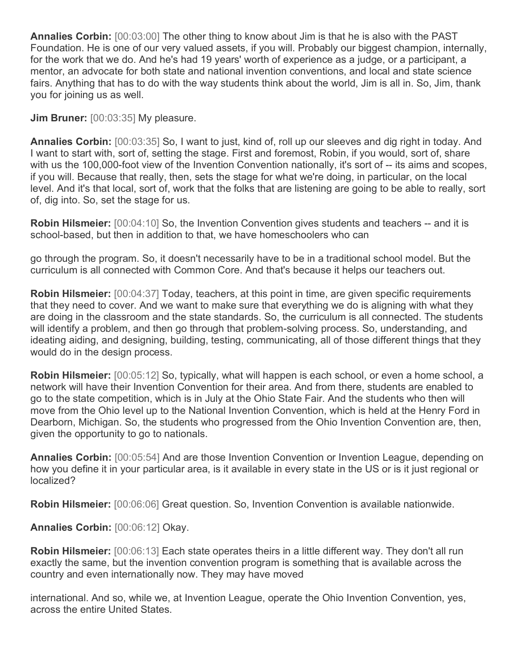**Annalies Corbin:** [00:03:00] The other thing to know about Jim is that he is also with the PAST Foundation. He is one of our very valued assets, if you will. Probably our biggest champion, internally, for the work that we do. And he's had 19 years' worth of experience as a judge, or a participant, a mentor, an advocate for both state and national invention conventions, and local and state science fairs. Anything that has to do with the way students think about the world, Jim is all in. So, Jim, thank you for joining us as well.

**Jim Bruner:** [00:03:35] My pleasure.

**Annalies Corbin:** [00:03:35] So, I want to just, kind of, roll up our sleeves and dig right in today. And I want to start with, sort of, setting the stage. First and foremost, Robin, if you would, sort of, share with us the 100,000-foot view of the Invention Convention nationally, it's sort of -- its aims and scopes, if you will. Because that really, then, sets the stage for what we're doing, in particular, on the local level. And it's that local, sort of, work that the folks that are listening are going to be able to really, sort of, dig into. So, set the stage for us.

**Robin Hilsmeier:** [00:04:10] So, the Invention Convention gives students and teachers -- and it is school-based, but then in addition to that, we have homeschoolers who can

go through the program. So, it doesn't necessarily have to be in a traditional school model. But the curriculum is all connected with Common Core. And that's because it helps our teachers out.

**Robin Hilsmeier:** [00:04:37] Today, teachers, at this point in time, are given specific requirements that they need to cover. And we want to make sure that everything we do is aligning with what they are doing in the classroom and the state standards. So, the curriculum is all connected. The students will identify a problem, and then go through that problem-solving process. So, understanding, and ideating aiding, and designing, building, testing, communicating, all of those different things that they would do in the design process.

**Robin Hilsmeier:** [00:05:12] So, typically, what will happen is each school, or even a home school, a network will have their Invention Convention for their area. And from there, students are enabled to go to the state competition, which is in July at the Ohio State Fair. And the students who then will move from the Ohio level up to the National Invention Convention, which is held at the Henry Ford in Dearborn, Michigan. So, the students who progressed from the Ohio Invention Convention are, then, given the opportunity to go to nationals.

**Annalies Corbin:** [00:05:54] And are those Invention Convention or Invention League, depending on how you define it in your particular area, is it available in every state in the US or is it just regional or localized?

**Robin Hilsmeier:** [00:06:06] Great question. So, Invention Convention is available nationwide.

**Annalies Corbin:** [00:06:12] Okay.

**Robin Hilsmeier:** [00:06:13] Each state operates theirs in a little different way. They don't all run exactly the same, but the invention convention program is something that is available across the country and even internationally now. They may have moved

international. And so, while we, at Invention League, operate the Ohio Invention Convention, yes, across the entire United States.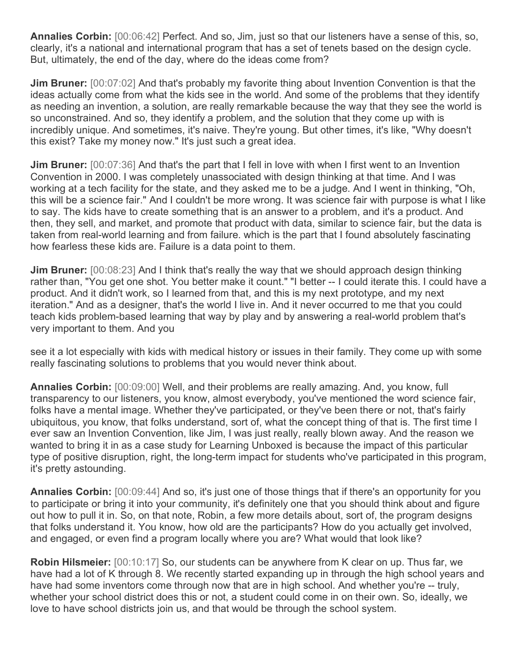**Annalies Corbin:** [00:06:42] Perfect. And so, Jim, just so that our listeners have a sense of this, so, clearly, it's a national and international program that has a set of tenets based on the design cycle. But, ultimately, the end of the day, where do the ideas come from?

**Jim Bruner:** [00:07:02] And that's probably my favorite thing about Invention Convention is that the ideas actually come from what the kids see in the world. And some of the problems that they identify as needing an invention, a solution, are really remarkable because the way that they see the world is so unconstrained. And so, they identify a problem, and the solution that they come up with is incredibly unique. And sometimes, it's naive. They're young. But other times, it's like, "Why doesn't this exist? Take my money now." It's just such a great idea.

**Jim Bruner:** [00:07:36] And that's the part that I fell in love with when I first went to an Invention Convention in 2000. I was completely unassociated with design thinking at that time. And I was working at a tech facility for the state, and they asked me to be a judge. And I went in thinking, "Oh, this will be a science fair." And I couldn't be more wrong. It was science fair with purpose is what I like to say. The kids have to create something that is an answer to a problem, and it's a product. And then, they sell, and market, and promote that product with data, similar to science fair, but the data is taken from real-world learning and from failure. which is the part that I found absolutely fascinating how fearless these kids are. Failure is a data point to them.

**Jim Bruner:** [00:08:23] And I think that's really the way that we should approach design thinking rather than, "You get one shot. You better make it count." "I better -- I could iterate this. I could have a product. And it didn't work, so I learned from that, and this is my next prototype, and my next iteration." And as a designer, that's the world I live in. And it never occurred to me that you could teach kids problem-based learning that way by play and by answering a real-world problem that's very important to them. And you

see it a lot especially with kids with medical history or issues in their family. They come up with some really fascinating solutions to problems that you would never think about.

**Annalies Corbin:** [00:09:00] Well, and their problems are really amazing. And, you know, full transparency to our listeners, you know, almost everybody, you've mentioned the word science fair, folks have a mental image. Whether they've participated, or they've been there or not, that's fairly ubiquitous, you know, that folks understand, sort of, what the concept thing of that is. The first time I ever saw an Invention Convention, like Jim, I was just really, really blown away. And the reason we wanted to bring it in as a case study for Learning Unboxed is because the impact of this particular type of positive disruption, right, the long-term impact for students who've participated in this program, it's pretty astounding.

**Annalies Corbin:** [00:09:44] And so, it's just one of those things that if there's an opportunity for you to participate or bring it into your community, it's definitely one that you should think about and figure out how to pull it in. So, on that note, Robin, a few more details about, sort of, the program designs that folks understand it. You know, how old are the participants? How do you actually get involved, and engaged, or even find a program locally where you are? What would that look like?

**Robin Hilsmeier:** [00:10:17] So, our students can be anywhere from K clear on up. Thus far, we have had a lot of K through 8. We recently started expanding up in through the high school years and have had some inventors come through now that are in high school. And whether you're -- truly, whether your school district does this or not, a student could come in on their own. So, ideally, we love to have school districts join us, and that would be through the school system.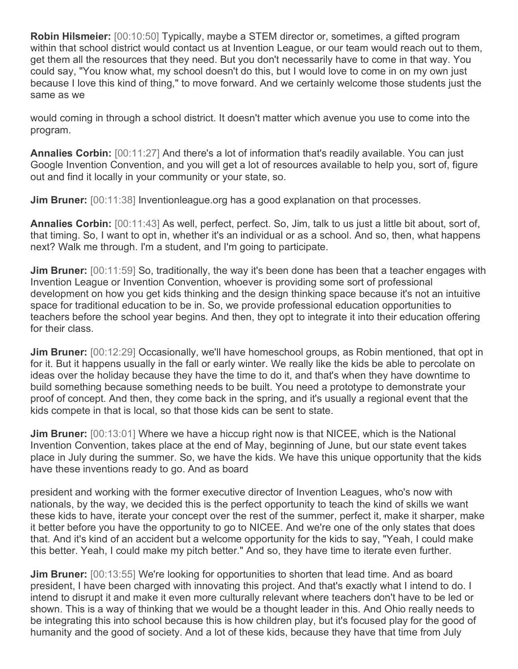**Robin Hilsmeier:** [00:10:50] Typically, maybe a STEM director or, sometimes, a gifted program within that school district would contact us at Invention League, or our team would reach out to them, get them all the resources that they need. But you don't necessarily have to come in that way. You could say, "You know what, my school doesn't do this, but I would love to come in on my own just because I love this kind of thing," to move forward. And we certainly welcome those students just the same as we

would coming in through a school district. It doesn't matter which avenue you use to come into the program.

**Annalies Corbin:** [00:11:27] And there's a lot of information that's readily available. You can just Google Invention Convention, and you will get a lot of resources available to help you, sort of, figure out and find it locally in your community or your state, so.

**Jim Bruner:** [00:11:38] Inventionleague.org has a good explanation on that processes.

**Annalies Corbin:** [00:11:43] As well, perfect, perfect. So, Jim, talk to us just a little bit about, sort of, that timing. So, I want to opt in, whether it's an individual or as a school. And so, then, what happens next? Walk me through. I'm a student, and I'm going to participate.

**Jim Bruner:** [00:11:59] So, traditionally, the way it's been done has been that a teacher engages with Invention League or Invention Convention, whoever is providing some sort of professional development on how you get kids thinking and the design thinking space because it's not an intuitive space for traditional education to be in. So, we provide professional education opportunities to teachers before the school year begins. And then, they opt to integrate it into their education offering for their class.

**Jim Bruner:** [00:12:29] Occasionally, we'll have homeschool groups, as Robin mentioned, that opt in for it. But it happens usually in the fall or early winter. We really like the kids be able to percolate on ideas over the holiday because they have the time to do it, and that's when they have downtime to build something because something needs to be built. You need a prototype to demonstrate your proof of concept. And then, they come back in the spring, and it's usually a regional event that the kids compete in that is local, so that those kids can be sent to state.

**Jim Bruner:** [00:13:01] Where we have a hiccup right now is that NICEE, which is the National Invention Convention, takes place at the end of May, beginning of June, but our state event takes place in July during the summer. So, we have the kids. We have this unique opportunity that the kids have these inventions ready to go. And as board

president and working with the former executive director of Invention Leagues, who's now with nationals, by the way, we decided this is the perfect opportunity to teach the kind of skills we want these kids to have, iterate your concept over the rest of the summer, perfect it, make it sharper, make it better before you have the opportunity to go to NICEE. And we're one of the only states that does that. And it's kind of an accident but a welcome opportunity for the kids to say, "Yeah, I could make this better. Yeah, I could make my pitch better." And so, they have time to iterate even further.

**Jim Bruner:** [00:13:55] We're looking for opportunities to shorten that lead time. And as board president, I have been charged with innovating this project. And that's exactly what I intend to do. I intend to disrupt it and make it even more culturally relevant where teachers don't have to be led or shown. This is a way of thinking that we would be a thought leader in this. And Ohio really needs to be integrating this into school because this is how children play, but it's focused play for the good of humanity and the good of society. And a lot of these kids, because they have that time from July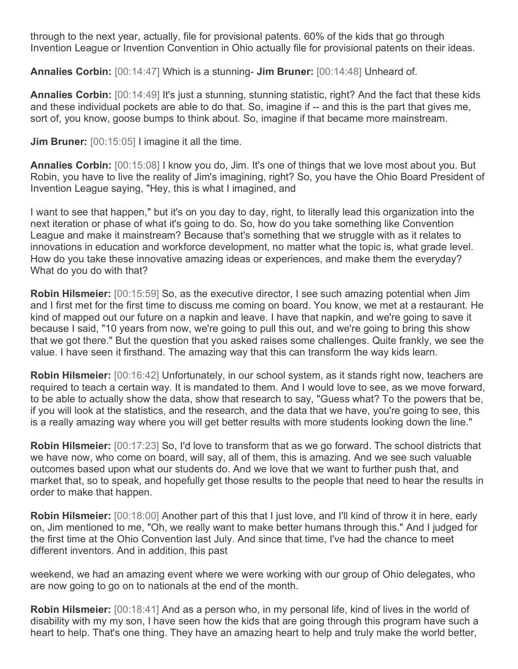through to the next year, actually, file for provisional patents. 60% of the kids that go through Invention League or Invention Convention in Ohio actually file for provisional patents on their ideas.

**Annalies Corbin:** [00:14:47] Which is a stunning- **Jim Bruner:** [00:14:48] Unheard of.

**Annalies Corbin:** [00:14:49] It's just a stunning, stunning statistic, right? And the fact that these kids and these individual pockets are able to do that. So, imagine if -- and this is the part that gives me, sort of, you know, goose bumps to think about. So, imagine if that became more mainstream.

**Jim Bruner:** [00:15:05] I imagine it all the time.

**Annalies Corbin:** [00:15:08] I know you do, Jim. It's one of things that we love most about you. But Robin, you have to live the reality of Jim's imagining, right? So, you have the Ohio Board President of Invention League saying, "Hey, this is what I imagined, and

I want to see that happen," but it's on you day to day, right, to literally lead this organization into the next iteration or phase of what it's going to do. So, how do you take something like Convention League and make it mainstream? Because that's something that we struggle with as it relates to innovations in education and workforce development, no matter what the topic is, what grade level. How do you take these innovative amazing ideas or experiences, and make them the everyday? What do you do with that?

**Robin Hilsmeier:** [00:15:59] So, as the executive director, I see such amazing potential when Jim and I first met for the first time to discuss me coming on board. You know, we met at a restaurant. He kind of mapped out our future on a napkin and leave. I have that napkin, and we're going to save it because I said, "10 years from now, we're going to pull this out, and we're going to bring this show that we got there." But the question that you asked raises some challenges. Quite frankly, we see the value. I have seen it firsthand. The amazing way that this can transform the way kids learn.

**Robin Hilsmeier:** [00:16:42] Unfortunately, in our school system, as it stands right now, teachers are required to teach a certain way. It is mandated to them. And I would love to see, as we move forward, to be able to actually show the data, show that research to say, "Guess what? To the powers that be, if you will look at the statistics, and the research, and the data that we have, you're going to see, this is a really amazing way where you will get better results with more students looking down the line."

**Robin Hilsmeier:** [00:17:23] So, I'd love to transform that as we go forward. The school districts that we have now, who come on board, will say, all of them, this is amazing. And we see such valuable outcomes based upon what our students do. And we love that we want to further push that, and market that, so to speak, and hopefully get those results to the people that need to hear the results in order to make that happen.

**Robin Hilsmeier:** [00:18:00] Another part of this that I just love, and I'll kind of throw it in here, early on, Jim mentioned to me, "Oh, we really want to make better humans through this." And I judged for the first time at the Ohio Convention last July. And since that time, I've had the chance to meet different inventors. And in addition, this past

weekend, we had an amazing event where we were working with our group of Ohio delegates, who are now going to go on to nationals at the end of the month.

**Robin Hilsmeier:** [00:18:41] And as a person who, in my personal life, kind of lives in the world of disability with my my son, I have seen how the kids that are going through this program have such a heart to help. That's one thing. They have an amazing heart to help and truly make the world better,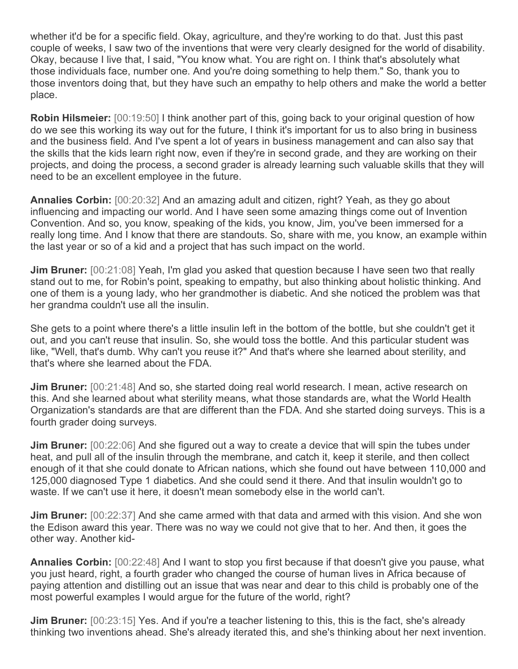whether it'd be for a specific field. Okay, agriculture, and they're working to do that. Just this past couple of weeks, I saw two of the inventions that were very clearly designed for the world of disability. Okay, because I live that, I said, "You know what. You are right on. I think that's absolutely what those individuals face, number one. And you're doing something to help them." So, thank you to those inventors doing that, but they have such an empathy to help others and make the world a better place.

**Robin Hilsmeier:** [00:19:50] I think another part of this, going back to your original question of how do we see this working its way out for the future, I think it's important for us to also bring in business and the business field. And I've spent a lot of years in business management and can also say that the skills that the kids learn right now, even if they're in second grade, and they are working on their projects, and doing the process, a second grader is already learning such valuable skills that they will need to be an excellent employee in the future.

**Annalies Corbin:** [00:20:32] And an amazing adult and citizen, right? Yeah, as they go about influencing and impacting our world. And I have seen some amazing things come out of Invention Convention. And so, you know, speaking of the kids, you know, Jim, you've been immersed for a really long time. And I know that there are standouts. So, share with me, you know, an example within the last year or so of a kid and a project that has such impact on the world.

**Jim Bruner:** [00:21:08] Yeah, I'm glad you asked that question because I have seen two that really stand out to me, for Robin's point, speaking to empathy, but also thinking about holistic thinking. And one of them is a young lady, who her grandmother is diabetic. And she noticed the problem was that her grandma couldn't use all the insulin.

She gets to a point where there's a little insulin left in the bottom of the bottle, but she couldn't get it out, and you can't reuse that insulin. So, she would toss the bottle. And this particular student was like, "Well, that's dumb. Why can't you reuse it?" And that's where she learned about sterility, and that's where she learned about the FDA.

**Jim Bruner:** [00:21:48] And so, she started doing real world research. I mean, active research on this. And she learned about what sterility means, what those standards are, what the World Health Organization's standards are that are different than the FDA. And she started doing surveys. This is a fourth grader doing surveys.

**Jim Bruner:** [00:22:06] And she figured out a way to create a device that will spin the tubes under heat, and pull all of the insulin through the membrane, and catch it, keep it sterile, and then collect enough of it that she could donate to African nations, which she found out have between 110,000 and 125,000 diagnosed Type 1 diabetics. And she could send it there. And that insulin wouldn't go to waste. If we can't use it here, it doesn't mean somebody else in the world can't.

**Jim Bruner:** [00:22:37] And she came armed with that data and armed with this vision. And she won the Edison award this year. There was no way we could not give that to her. And then, it goes the other way. Another kid-

**Annalies Corbin:** [00:22:48] And I want to stop you first because if that doesn't give you pause, what you just heard, right, a fourth grader who changed the course of human lives in Africa because of paying attention and distilling out an issue that was near and dear to this child is probably one of the most powerful examples I would argue for the future of the world, right?

**Jim Bruner:** [00:23:15] Yes. And if you're a teacher listening to this, this is the fact, she's already thinking two inventions ahead. She's already iterated this, and she's thinking about her next invention.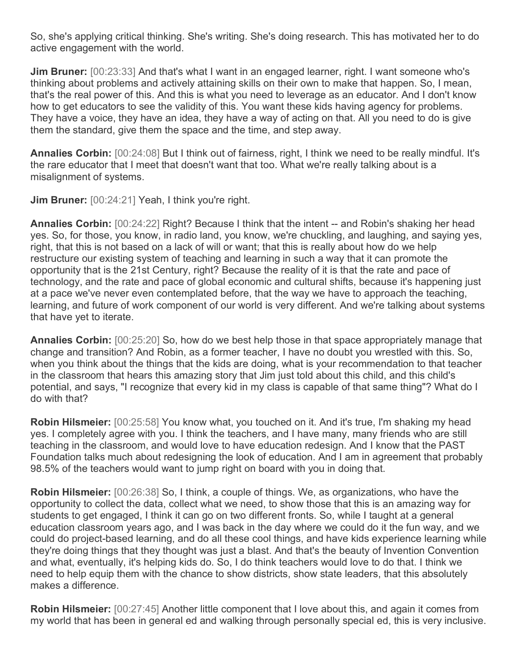So, she's applying critical thinking. She's writing. She's doing research. This has motivated her to do active engagement with the world.

**Jim Bruner:** [00:23:33] And that's what I want in an engaged learner, right. I want someone who's thinking about problems and actively attaining skills on their own to make that happen. So, I mean, that's the real power of this. And this is what you need to leverage as an educator. And I don't know how to get educators to see the validity of this. You want these kids having agency for problems. They have a voice, they have an idea, they have a way of acting on that. All you need to do is give them the standard, give them the space and the time, and step away.

**Annalies Corbin:** [00:24:08] But I think out of fairness, right, I think we need to be really mindful. It's the rare educator that I meet that doesn't want that too. What we're really talking about is a misalignment of systems.

**Jim Bruner:** [00:24:21] Yeah, I think you're right.

**Annalies Corbin:** [00:24:22] Right? Because I think that the intent -- and Robin's shaking her head yes. So, for those, you know, in radio land, you know, we're chuckling, and laughing, and saying yes, right, that this is not based on a lack of will or want; that this is really about how do we help restructure our existing system of teaching and learning in such a way that it can promote the opportunity that is the 21st Century, right? Because the reality of it is that the rate and pace of technology, and the rate and pace of global economic and cultural shifts, because it's happening just at a pace we've never even contemplated before, that the way we have to approach the teaching, learning, and future of work component of our world is very different. And we're talking about systems that have yet to iterate.

**Annalies Corbin:** [00:25:20] So, how do we best help those in that space appropriately manage that change and transition? And Robin, as a former teacher, I have no doubt you wrestled with this. So, when you think about the things that the kids are doing, what is your recommendation to that teacher in the classroom that hears this amazing story that Jim just told about this child, and this child's potential, and says, "I recognize that every kid in my class is capable of that same thing"? What do I do with that?

**Robin Hilsmeier:** [00:25:58] You know what, you touched on it. And it's true, I'm shaking my head yes. I completely agree with you. I think the teachers, and I have many, many friends who are still teaching in the classroom, and would love to have education redesign. And I know that the PAST Foundation talks much about redesigning the look of education. And I am in agreement that probably 98.5% of the teachers would want to jump right on board with you in doing that.

**Robin Hilsmeier:** [00:26:38] So, I think, a couple of things. We, as organizations, who have the opportunity to collect the data, collect what we need, to show those that this is an amazing way for students to get engaged, I think it can go on two different fronts. So, while I taught at a general education classroom years ago, and I was back in the day where we could do it the fun way, and we could do project-based learning, and do all these cool things, and have kids experience learning while they're doing things that they thought was just a blast. And that's the beauty of Invention Convention and what, eventually, it's helping kids do. So, I do think teachers would love to do that. I think we need to help equip them with the chance to show districts, show state leaders, that this absolutely makes a difference.

**Robin Hilsmeier:** [00:27:45] Another little component that I love about this, and again it comes from my world that has been in general ed and walking through personally special ed, this is very inclusive.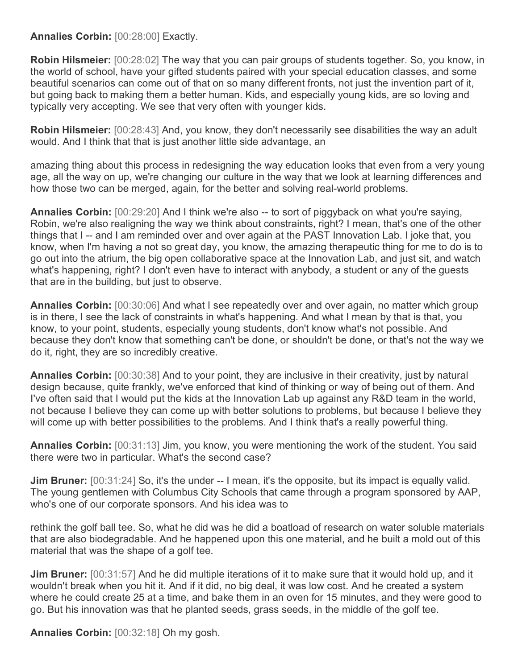**Annalies Corbin:** [00:28:00] Exactly.

**Robin Hilsmeier:** [00:28:02] The way that you can pair groups of students together. So, you know, in the world of school, have your gifted students paired with your special education classes, and some beautiful scenarios can come out of that on so many different fronts, not just the invention part of it, but going back to making them a better human. Kids, and especially young kids, are so loving and typically very accepting. We see that very often with younger kids.

**Robin Hilsmeier:** [00:28:43] And, you know, they don't necessarily see disabilities the way an adult would. And I think that that is just another little side advantage, an

amazing thing about this process in redesigning the way education looks that even from a very young age, all the way on up, we're changing our culture in the way that we look at learning differences and how those two can be merged, again, for the better and solving real-world problems.

**Annalies Corbin:** [00:29:20] And I think we're also -- to sort of piggyback on what you're saying, Robin, we're also realigning the way we think about constraints, right? I mean, that's one of the other things that I -- and I am reminded over and over again at the PAST Innovation Lab. I joke that, you know, when I'm having a not so great day, you know, the amazing therapeutic thing for me to do is to go out into the atrium, the big open collaborative space at the Innovation Lab, and just sit, and watch what's happening, right? I don't even have to interact with anybody, a student or any of the guests that are in the building, but just to observe.

**Annalies Corbin:** [00:30:06] And what I see repeatedly over and over again, no matter which group is in there, I see the lack of constraints in what's happening. And what I mean by that is that, you know, to your point, students, especially young students, don't know what's not possible. And because they don't know that something can't be done, or shouldn't be done, or that's not the way we do it, right, they are so incredibly creative.

**Annalies Corbin:** [00:30:38] And to your point, they are inclusive in their creativity, just by natural design because, quite frankly, we've enforced that kind of thinking or way of being out of them. And I've often said that I would put the kids at the Innovation Lab up against any R&D team in the world, not because I believe they can come up with better solutions to problems, but because I believe they will come up with better possibilities to the problems. And I think that's a really powerful thing.

**Annalies Corbin:** [00:31:13] Jim, you know, you were mentioning the work of the student. You said there were two in particular. What's the second case?

**Jim Bruner:** [00:31:24] So, it's the under -- I mean, it's the opposite, but its impact is equally valid. The young gentlemen with Columbus City Schools that came through a program sponsored by AAP, who's one of our corporate sponsors. And his idea was to

rethink the golf ball tee. So, what he did was he did a boatload of research on water soluble materials that are also biodegradable. And he happened upon this one material, and he built a mold out of this material that was the shape of a golf tee.

**Jim Bruner:** [00:31:57] And he did multiple iterations of it to make sure that it would hold up, and it wouldn't break when you hit it. And if it did, no big deal, it was low cost. And he created a system where he could create 25 at a time, and bake them in an oven for 15 minutes, and they were good to go. But his innovation was that he planted seeds, grass seeds, in the middle of the golf tee.

**Annalies Corbin:** [00:32:18] Oh my gosh.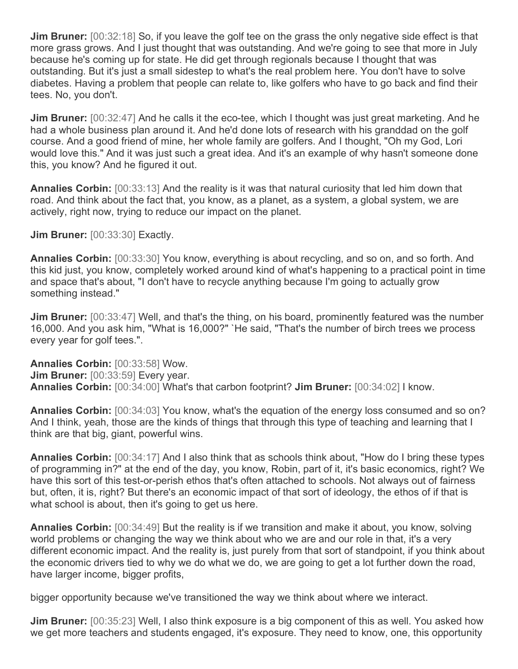**Jim Bruner:** [00:32:18] So, if you leave the golf tee on the grass the only negative side effect is that more grass grows. And I just thought that was outstanding. And we're going to see that more in July because he's coming up for state. He did get through regionals because I thought that was outstanding. But it's just a small sidestep to what's the real problem here. You don't have to solve diabetes. Having a problem that people can relate to, like golfers who have to go back and find their tees. No, you don't.

**Jim Bruner:** [00:32:47] And he calls it the eco-tee, which I thought was just great marketing. And he had a whole business plan around it. And he'd done lots of research with his granddad on the golf course. And a good friend of mine, her whole family are golfers. And I thought, "Oh my God, Lori would love this." And it was just such a great idea. And it's an example of why hasn't someone done this, you know? And he figured it out.

**Annalies Corbin:** [00:33:13] And the reality is it was that natural curiosity that led him down that road. And think about the fact that, you know, as a planet, as a system, a global system, we are actively, right now, trying to reduce our impact on the planet.

**Jim Bruner:** [00:33:30] Exactly.

**Annalies Corbin:** [00:33:30] You know, everything is about recycling, and so on, and so forth. And this kid just, you know, completely worked around kind of what's happening to a practical point in time and space that's about, "I don't have to recycle anything because I'm going to actually grow something instead."

**Jim Bruner:** [00:33:47] Well, and that's the thing, on his board, prominently featured was the number 16,000. And you ask him, "What is 16,000?" `He said, "That's the number of birch trees we process every year for golf tees.".

**Annalies Corbin:** [00:33:58] Wow. **Jim Bruner:** [00:33:59] Every year. **Annalies Corbin:** [00:34:00] What's that carbon footprint? **Jim Bruner:** [00:34:02] I know.

**Annalies Corbin:** [00:34:03] You know, what's the equation of the energy loss consumed and so on? And I think, yeah, those are the kinds of things that through this type of teaching and learning that I think are that big, giant, powerful wins.

**Annalies Corbin:** [00:34:17] And I also think that as schools think about, "How do I bring these types of programming in?" at the end of the day, you know, Robin, part of it, it's basic economics, right? We have this sort of this test-or-perish ethos that's often attached to schools. Not always out of fairness but, often, it is, right? But there's an economic impact of that sort of ideology, the ethos of if that is what school is about, then it's going to get us here.

**Annalies Corbin:** [00:34:49] But the reality is if we transition and make it about, you know, solving world problems or changing the way we think about who we are and our role in that, it's a very different economic impact. And the reality is, just purely from that sort of standpoint, if you think about the economic drivers tied to why we do what we do, we are going to get a lot further down the road, have larger income, bigger profits,

bigger opportunity because we've transitioned the way we think about where we interact.

**Jim Bruner:** [00:35:23] Well, I also think exposure is a big component of this as well. You asked how we get more teachers and students engaged, it's exposure. They need to know, one, this opportunity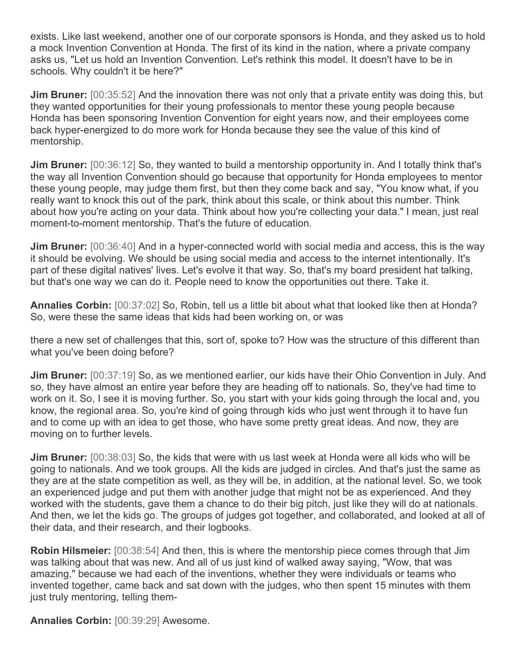exists. Like last weekend, another one of our corporate sponsors is Honda, and they asked us to hold a mock Invention Convention at Honda. The first of its kind in the nation, where a private company asks us, "Let us hold an Invention Convention. Let's rethink this model. It doesn't have to be in schools. Why couldn't it be here?"

**Jim Bruner:** [00:35:52] And the innovation there was not only that a private entity was doing this, but they wanted opportunities for their young professionals to mentor these young people because Honda has been sponsoring Invention Convention for eight years now, and their employees come back hyper-energized to do more work for Honda because they see the value of this kind of mentorship.

**Jim Bruner:** [00:36:12] So, they wanted to build a mentorship opportunity in. And I totally think that's the way all Invention Convention should go because that opportunity for Honda employees to mentor these young people, may judge them first, but then they come back and say, "You know what, if you really want to knock this out of the park, think about this scale, or think about this number. Think about how you're acting on your data. Think about how you're collecting your data." I mean, just real moment-to-moment mentorship. That's the future of education.

**Jim Bruner:** [00:36:40] And in a hyper-connected world with social media and access, this is the way it should be evolving. We should be using social media and access to the internet intentionally. It's part of these digital natives' lives. Let's evolve it that way. So, that's my board president hat talking, but that's one way we can do it. People need to know the opportunities out there. Take it.

**Annalies Corbin:** [00:37:02] So, Robin, tell us a little bit about what that looked like then at Honda? So, were these the same ideas that kids had been working on, or was

there a new set of challenges that this, sort of, spoke to? How was the structure of this different than what you've been doing before?

**Jim Bruner:** [00:37:19] So, as we mentioned earlier, our kids have their Ohio Convention in July. And so, they have almost an entire year before they are heading off to nationals. So, they've had time to work on it. So, I see it is moving further. So, you start with your kids going through the local and, you know, the regional area. So, you're kind of going through kids who just went through it to have fun and to come up with an idea to get those, who have some pretty great ideas. And now, they are moving on to further levels.

**Jim Bruner:** [00:38:03] So, the kids that were with us last week at Honda were all kids who will be going to nationals. And we took groups. All the kids are judged in circles. And that's just the same as they are at the state competition as well, as they will be, in addition, at the national level. So, we took an experienced judge and put them with another judge that might not be as experienced. And they worked with the students, gave them a chance to do their big pitch, just like they will do at nationals. And then, we let the kids go. The groups of judges got together, and collaborated, and looked at all of their data, and their research, and their logbooks.

**Robin Hilsmeier:** [00:38:54] And then, this is where the mentorship piece comes through that Jim was talking about that was new. And all of us just kind of walked away saying, "Wow, that was amazing," because we had each of the inventions, whether they were individuals or teams who invented together, came back and sat down with the judges, who then spent 15 minutes with them just truly mentoring, telling them-

**Annalies Corbin:** [00:39:29] Awesome.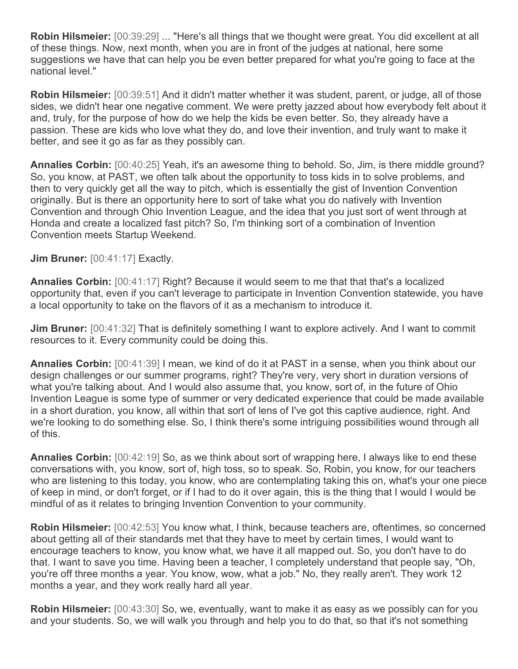**Robin Hilsmeier:** [00:39:29] ... "Here's all things that we thought were great. You did excellent at all of these things. Now, next month, when you are in front of the judges at national, here some suggestions we have that can help you be even better prepared for what you're going to face at the national level."

**Robin Hilsmeier:** [00:39:51] And it didn't matter whether it was student, parent, or judge, all of those sides, we didn't hear one negative comment. We were pretty jazzed about how everybody felt about it and, truly, for the purpose of how do we help the kids be even better. So, they already have a passion. These are kids who love what they do, and love their invention, and truly want to make it better, and see it go as far as they possibly can.

**Annalies Corbin:** [00:40:25] Yeah, it's an awesome thing to behold. So, Jim, is there middle ground? So, you know, at PAST, we often talk about the opportunity to toss kids in to solve problems, and then to very quickly get all the way to pitch, which is essentially the gist of Invention Convention originally. But is there an opportunity here to sort of take what you do natively with Invention Convention and through Ohio Invention League, and the idea that you just sort of went through at Honda and create a localized fast pitch? So, I'm thinking sort of a combination of Invention Convention meets Startup Weekend.

**Jim Bruner:** [00:41:17] Exactly.

**Annalies Corbin:** [00:41:17] Right? Because it would seem to me that that that's a localized opportunity that, even if you can't leverage to participate in Invention Convention statewide, you have a local opportunity to take on the flavors of it as a mechanism to introduce it.

**Jim Bruner:** [00:41:32] That is definitely something I want to explore actively. And I want to commit resources to it. Every community could be doing this.

**Annalies Corbin:** [00:41:39] I mean, we kind of do it at PAST in a sense, when you think about our design challenges or our summer programs, right? They're very, very short in duration versions of what you're talking about. And I would also assume that, you know, sort of, in the future of Ohio Invention League is some type of summer or very dedicated experience that could be made available in a short duration, you know, all within that sort of lens of I've got this captive audience, right. And we're looking to do something else. So, I think there's some intriguing possibilities wound through all of this.

**Annalies Corbin:** [00:42:19] So, as we think about sort of wrapping here, I always like to end these conversations with, you know, sort of, high toss, so to speak. So, Robin, you know, for our teachers who are listening to this today, you know, who are contemplating taking this on, what's your one piece of keep in mind, or don't forget, or if I had to do it over again, this is the thing that I would I would be mindful of as it relates to bringing Invention Convention to your community.

**Robin Hilsmeier:** [00:42:53] You know what, I think, because teachers are, oftentimes, so concerned about getting all of their standards met that they have to meet by certain times, I would want to encourage teachers to know, you know what, we have it all mapped out. So, you don't have to do that. I want to save you time. Having been a teacher, I completely understand that people say, "Oh, you're off three months a year. You know, wow, what a job." No, they really aren't. They work 12 months a year, and they work really hard all year.

**Robin Hilsmeier:** [00:43:30] So, we, eventually, want to make it as easy as we possibly can for you and your students. So, we will walk you through and help you to do that, so that it's not something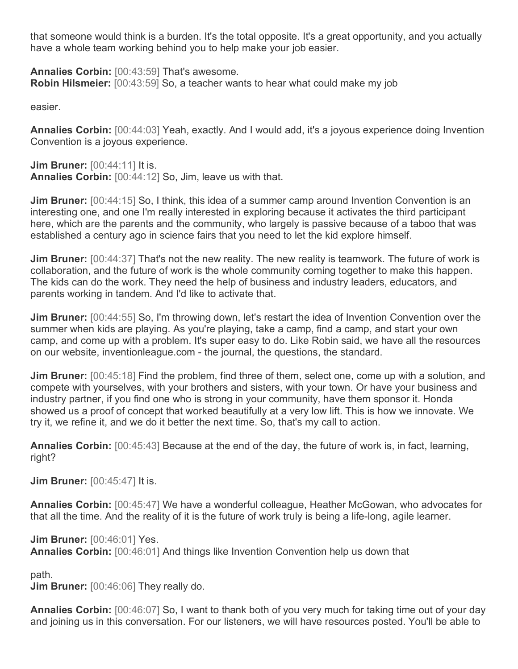that someone would think is a burden. It's the total opposite. It's a great opportunity, and you actually have a whole team working behind you to help make your job easier.

**Annalies Corbin:** [00:43:59] That's awesome. **Robin Hilsmeier:** [00:43:59] So, a teacher wants to hear what could make my job

easier.

**Annalies Corbin:** [00:44:03] Yeah, exactly. And I would add, it's a joyous experience doing Invention Convention is a joyous experience.

**Jim Bruner:** [00:44:11] It is. **Annalies Corbin:** [00:44:12] So, Jim, leave us with that.

**Jim Bruner:** [00:44:15] So, I think, this idea of a summer camp around Invention Convention is an interesting one, and one I'm really interested in exploring because it activates the third participant here, which are the parents and the community, who largely is passive because of a taboo that was established a century ago in science fairs that you need to let the kid explore himself.

**Jim Bruner:** [00:44:37] That's not the new reality. The new reality is teamwork. The future of work is collaboration, and the future of work is the whole community coming together to make this happen. The kids can do the work. They need the help of business and industry leaders, educators, and parents working in tandem. And I'd like to activate that.

**Jim Bruner:** [00:44:55] So, I'm throwing down, let's restart the idea of Invention Convention over the summer when kids are playing. As you're playing, take a camp, find a camp, and start your own camp, and come up with a problem. It's super easy to do. Like Robin said, we have all the resources on our website, inventionleague.com - the journal, the questions, the standard.

**Jim Bruner:** [00:45:18] Find the problem, find three of them, select one, come up with a solution, and compete with yourselves, with your brothers and sisters, with your town. Or have your business and industry partner, if you find one who is strong in your community, have them sponsor it. Honda showed us a proof of concept that worked beautifully at a very low lift. This is how we innovate. We try it, we refine it, and we do it better the next time. So, that's my call to action.

**Annalies Corbin:** [00:45:43] Because at the end of the day, the future of work is, in fact, learning, right?

**Jim Bruner:** [00:45:47] It is.

**Annalies Corbin:** [00:45:47] We have a wonderful colleague, Heather McGowan, who advocates for that all the time. And the reality of it is the future of work truly is being a life-long, agile learner.

**Jim Bruner:** [00:46:01] Yes. **Annalies Corbin:** [00:46:01] And things like Invention Convention help us down that

path.

**Jim Bruner:** [00:46:06] They really do.

**Annalies Corbin:** [00:46:07] So, I want to thank both of you very much for taking time out of your day and joining us in this conversation. For our listeners, we will have resources posted. You'll be able to